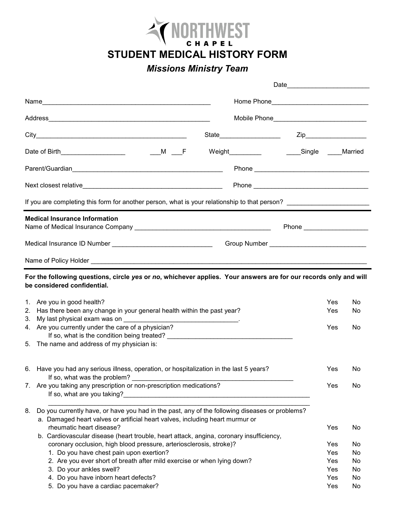

**STUDENT MEDICAL HISTORY FORM**

## *Missions Ministry Team*

| Home Phone___________________________________ |                                                                                                                                                                                 |                            |                   |          |
|-----------------------------------------------|---------------------------------------------------------------------------------------------------------------------------------------------------------------------------------|----------------------------|-------------------|----------|
|                                               | Mobile Phone_________________________________                                                                                                                                   |                            |                   |          |
|                                               |                                                                                                                                                                                 |                            |                   |          |
|                                               | Weight___________    ____Single  ____Married                                                                                                                                    |                            |                   |          |
|                                               |                                                                                                                                                                                 |                            |                   |          |
|                                               |                                                                                                                                                                                 |                            |                   |          |
|                                               | If you are completing this form for another person, what is your relationship to that person? ______________________                                                            |                            |                   |          |
|                                               | <b>Medical Insurance Information</b>                                                                                                                                            | Phone ____________________ |                   |          |
|                                               | Medical Insurance ID Number __________________________________                                                                                                                  |                            |                   |          |
|                                               |                                                                                                                                                                                 |                            |                   |          |
|                                               | For the following questions, circle yes or no, whichever applies. Your answers are for our records only and will<br>be considered confidential.                                 |                            |                   |          |
| 2.                                            | 1. Are you in good health?<br>Has there been any change in your general health within the past year?                                                                            |                            | Yes<br><b>Yes</b> | No<br>No |
| 3.                                            | 4. Are you currently under the care of a physician?                                                                                                                             |                            | Yes               | No       |
|                                               | 5. The name and address of my physician is:                                                                                                                                     |                            |                   |          |
|                                               | 6. Have you had any serious illness, operation, or hospitalization in the last 5 years?<br>If so, what was the problem?                                                         |                            | Yes               | No       |
|                                               | 7. Are you taking any prescription or non-prescription medications?                                                                                                             |                            | Yes               | No       |
| 8.                                            | Do you currently have, or have you had in the past, any of the following diseases or problems?<br>a. Damaged heart valves or artificial heart valves, including heart murmur or |                            |                   |          |
|                                               | rheumatic heart disease?<br>b. Cardiovascular disease (heart trouble, heart attack, angina, coronary insufficiency,                                                             |                            | Yes               | No       |
|                                               | coronary occlusion, high blood pressure, arteriosclerosis, stroke)?                                                                                                             |                            | Yes               | No       |
|                                               | 1. Do you have chest pain upon exertion?                                                                                                                                        |                            | Yes               | No       |
|                                               | 2. Are you ever short of breath after mild exercise or when lying down?                                                                                                         |                            | Yes               | No       |
|                                               | 3. Do your ankles swell?                                                                                                                                                        |                            | Yes               | No       |
|                                               | 4. Do you have inborn heart defects?                                                                                                                                            |                            | Yes               | No       |
|                                               | 5. Do you have a cardiac pacemaker?                                                                                                                                             |                            | Yes               | No       |